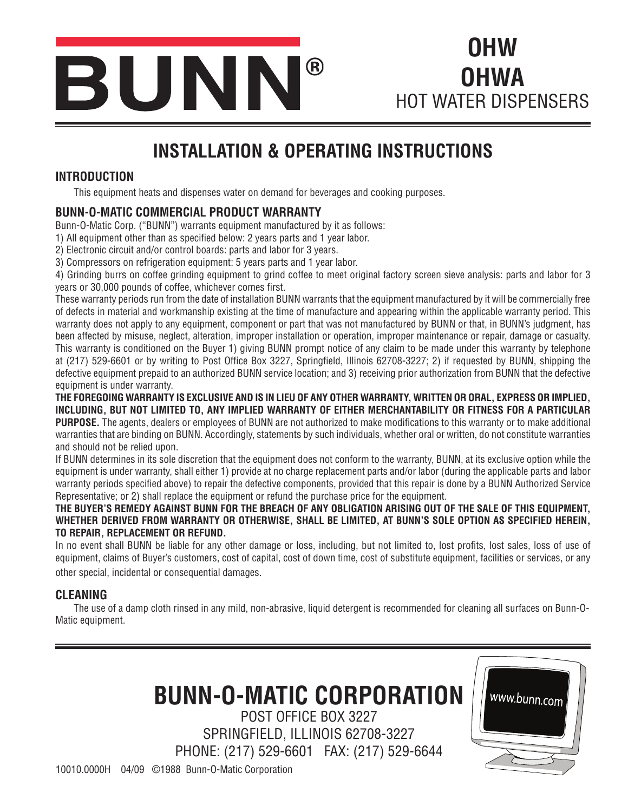

**OHW OHWA** HOT WATER DISPENSERS

# **INSTALLATION & OPERATING INSTRUCTIONS**

#### **INTRODUCTION**

This equipment heats and dispenses water on demand for beverages and cooking purposes.

#### **BUNN-O-MATIC COMMERCIAL PRODUCT WARRANTY**

Bunn-O-Matic Corp. ("BUNN") warrants equipment manufactured by it as follows:

1) All equipment other than as specified below: 2 years parts and 1 year labor.

2) Electronic circuit and/or control boards: parts and labor for 3 years.

3) Compressors on refrigeration equipment: 5 years parts and 1 year labor.

4) Grinding burrs on coffee grinding equipment to grind coffee to meet original factory screen sieve analysis: parts and labor for 3 years or 30,000 pounds of coffee, whichever comes first.

These warranty periods run from the date of installation BUNN warrants that the equipment manufactured by it will be commercially free of defects in material and workmanship existing at the time of manufacture and appearing within the applicable warranty period. This warranty does not apply to any equipment, component or part that was not manufactured by BUNN or that, in BUNN's judgment, has been affected by misuse, neglect, alteration, improper installation or operation, improper maintenance or repair, damage or casualty. This warranty is conditioned on the Buyer 1) giving BUNN prompt notice of any claim to be made under this warranty by telephone at (217) 529-6601 or by writing to Post Office Box 3227, Springfield, Illinois 62708-3227; 2) if requested by BUNN, shipping the defective equipment prepaid to an authorized BUNN service location; and 3) receiving prior authorization from BUNN that the defective equipment is under warranty.

**THE FOREGOING WARRANTY IS EXCLUSIVE AND IS IN LIEU OF ANY OTHER WARRANTY, WRITTEN OR ORAL, EXPRESS OR IMPLIED, INCLUDING, BUT NOT LIMITED TO, ANY IMPLIED WARRANTY OF EITHER MERCHANTABILITY OR FITNESS FOR A PARTICULAR PURPOSE.** The agents, dealers or employees of BUNN are not authorized to make modifications to this warranty or to make additional warranties that are binding on BUNN. Accordingly, statements by such individuals, whether oral or written, do not constitute warranties and should not be relied upon.

If BUNN determines in its sole discretion that the equipment does not conform to the warranty, BUNN, at its exclusive option while the equipment is under warranty, shall either 1) provide at no charge replacement parts and/or labor (during the applicable parts and labor warranty periods specified above) to repair the defective components, provided that this repair is done by a BUNN Authorized Service Representative; or 2) shall replace the equipment or refund the purchase price for the equipment.

#### **THE BUYER'S REMEDY AGAINST BUNN FOR THE BREACH OF ANY OBLIGATION ARISING OUT OF THE SALE OF THIS EQUIPMENT, WHETHER DERIVED FROM WARRANTY OR OTHERWISE, SHALL BE LIMITED, AT BUNN'S SOLE OPTION AS SPECIFIED HEREIN, TO REPAIR, REPLACEMENT OR REFUND.**

In no event shall BUNN be liable for any other damage or loss, including, but not limited to, lost profits, lost sales, loss of use of equipment, claims of Buyer's customers, cost of capital, cost of down time, cost of substitute equipment, facilities or services, or any other special, incidental or consequential damages.

#### **CLEANING**

The use of a damp cloth rinsed in any mild, non-abrasive, liquid detergent is recommended for cleaning all surfaces on Bunn-O-Matic equipment.

# **BUNN-O-MATIC CORPORATION**

POST OFFICE BOX 3227 SPRINGFIELD, ILLINOIS 62708-3227 PHONE: (217) 529-6601 FAX: (217) 529-6644



10010.0000H 04/09 ©1988 Bunn-O-Matic Corporation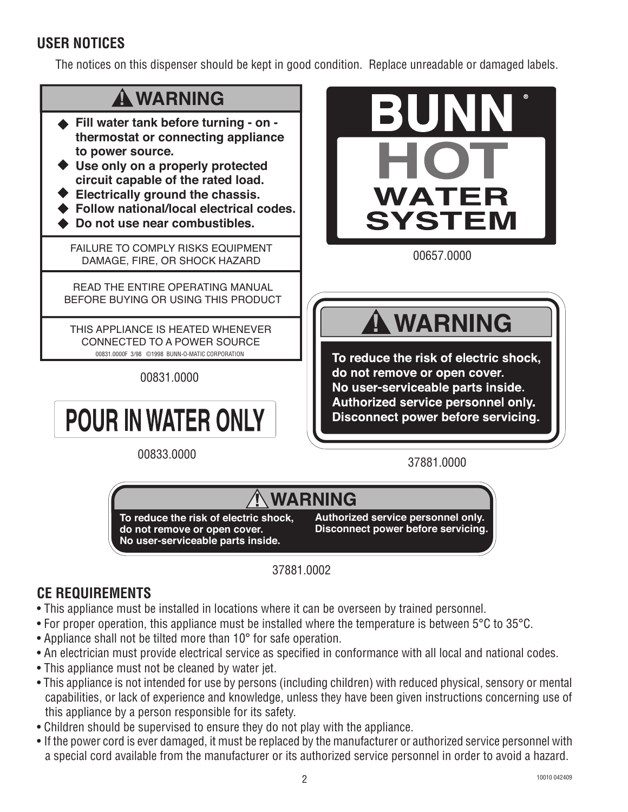# **USER NOTICES**

The notices on this dispenser should be kept in good condition. Replace unreadable or damaged labels.



37881.0002

### **CE REQUIREMENTS**

- This appliance must be installed in locations where it can be overseen by trained personnel.
- For proper operation, this appliance must be installed where the temperature is between 5°C to 35°C.
- Appliance shall not be tilted more than 10° for safe operation.
- An electrician must provide electrical service as specified in conformance with all local and national codes.
- This appliance must not be cleaned by water jet.
- This appliance is not intended for use by persons (including children) with reduced physical, sensory or mental capabilities, or lack of experience and knowledge, unless they have been given instructions concerning use of this appliance by a person responsible for its safety.
- Children should be supervised to ensure they do not play with the appliance.
- If the power cord is ever damaged, it must be replaced by the manufacturer or authorized service personnel with a special cord available from the manufacturer or its authorized service personnel in order to avoid a hazard.